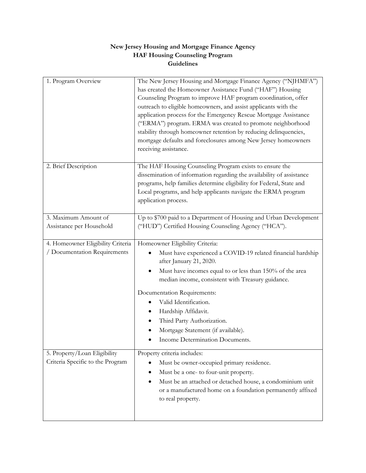## **New Jersey Housing and Mortgage Finance Agency HAF Housing Counseling Program Guidelines**

| 1. Program Overview                                               | The New Jersey Housing and Mortgage Finance Agency ("NJHMFA")<br>has created the Homeowner Assistance Fund ("HAF") Housing<br>Counseling Program to improve HAF program coordination, offer<br>outreach to eligible homeowners, and assist applicants with the<br>application process for the Emergency Rescue Mortgage Assistance<br>("ERMA") program. ERMA was created to promote neighborhood<br>stability through homeowner retention by reducing delinquencies,<br>mortgage defaults and foreclosures among New Jersey homeowners<br>receiving assistance. |
|-------------------------------------------------------------------|-----------------------------------------------------------------------------------------------------------------------------------------------------------------------------------------------------------------------------------------------------------------------------------------------------------------------------------------------------------------------------------------------------------------------------------------------------------------------------------------------------------------------------------------------------------------|
| 2. Brief Description                                              | The HAF Housing Counseling Program exists to ensure the<br>dissemination of information regarding the availability of assistance<br>programs, help families determine eligibility for Federal, State and<br>Local programs, and help applicants navigate the ERMA program<br>application process.                                                                                                                                                                                                                                                               |
| 3. Maximum Amount of                                              | Up to \$700 paid to a Department of Housing and Urban Development                                                                                                                                                                                                                                                                                                                                                                                                                                                                                               |
| Assistance per Household                                          | ("HUD") Certified Housing Counseling Agency ("HCA").                                                                                                                                                                                                                                                                                                                                                                                                                                                                                                            |
| 4. Homeowner Eligibility Criteria<br>/ Documentation Requirements | Homeowner Eligibility Criteria:<br>Must have experienced a COVID-19 related financial hardship<br>after January 21, 2020.<br>Must have incomes equal to or less than 150% of the area<br>٠<br>median income, consistent with Treasury guidance.<br>Documentation Requirements:<br>Valid Identification.<br>Hardship Affidavit.<br>Third Party Authorization.<br>Mortgage Statement (if available).<br>Income Determination Documents.                                                                                                                           |
| 5. Property/Loan Eligibility<br>Criteria Specific to the Program  | Property criteria includes:<br>Must be owner-occupied primary residence.<br>Must be a one- to four-unit property.<br>٠<br>Must be an attached or detached house, a condominium unit<br>or a manufactured home on a foundation permanently affixed<br>to real property.                                                                                                                                                                                                                                                                                          |